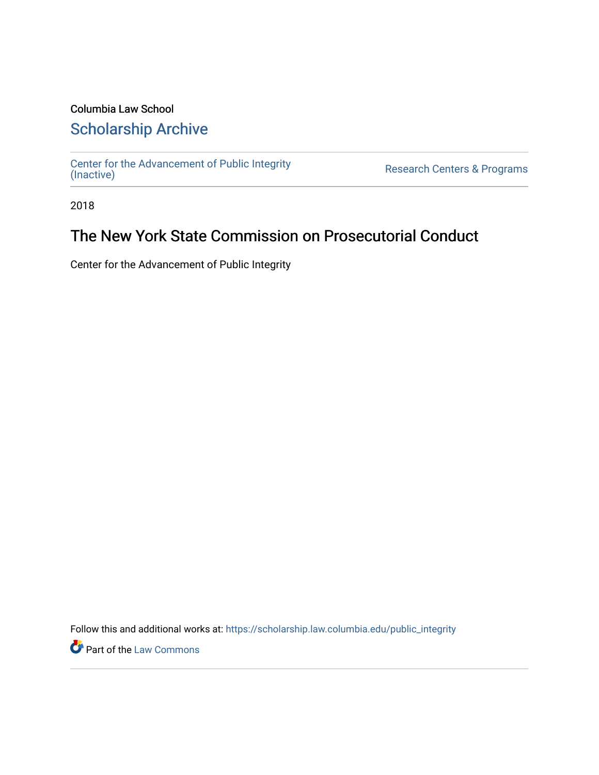## Columbia Law School

### [Scholarship Archive](https://scholarship.law.columbia.edu/)

[Center for the Advancement of Public Integrity](https://scholarship.law.columbia.edu/public_integrity)<br>(Inactive)

Research Centers & Programs

2018

### The New York State Commission on Prosecutorial Conduct

Center for the Advancement of Public Integrity

Follow this and additional works at: [https://scholarship.law.columbia.edu/public\\_integrity](https://scholarship.law.columbia.edu/public_integrity?utm_source=scholarship.law.columbia.edu%2Fpublic_integrity%2F25&utm_medium=PDF&utm_campaign=PDFCoverPages)

**Part of the [Law Commons](http://network.bepress.com/hgg/discipline/578?utm_source=scholarship.law.columbia.edu%2Fpublic_integrity%2F25&utm_medium=PDF&utm_campaign=PDFCoverPages)**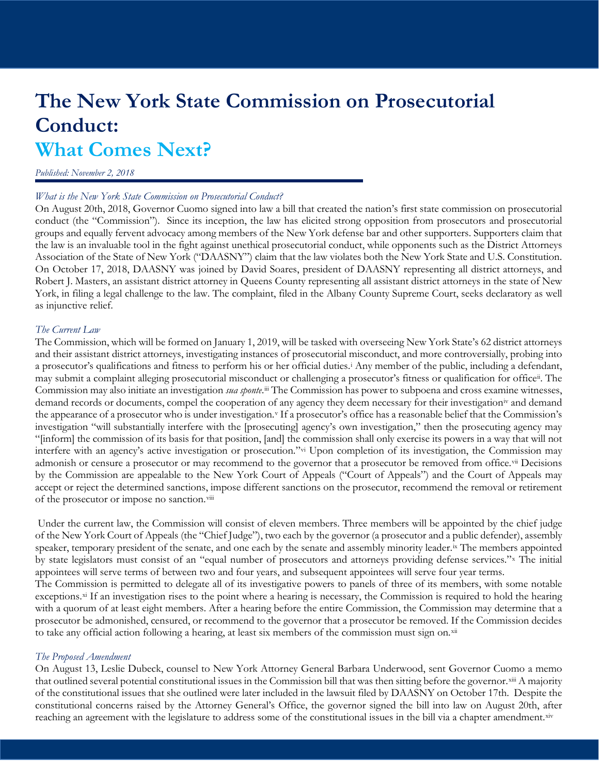# **The New York State Commission on Prosecutorial Conduct: What Comes Next?**

#### *Published: November 2, 2018*

#### *What is the New York State Commission on Prosecutorial Conduct?*

On August 20th, 2018, Governor Cuomo signed into law a bill that created the nation's first state commission on prosecutorial conduct (the "Commission"). Since its inception, the law has elicited strong opposition from prosecutors and prosecutorial groups and equally fervent advocacy among members of the New York defense bar and other supporters. Supporters claim that the law is an invaluable tool in the fight against unethical prosecutorial conduct, while opponents such as the District Attorneys Association of the State of New York ("DAASNY") claim that the law violates both the New York State and U.S. Constitution. On October 17, 2018, DAASNY was joined by David Soares, president of DAASNY representing all district attorneys, and Robert J. Masters, an assistant district attorney in Queens County representing all assistant district attorneys in the state of New York, in filing a legal challenge to the law. The complaint, filed in the Albany County Supreme Court, seeks declaratory as well as injunctive relief.

#### *The Current Law*

The Commission, which will be formed on January 1, 2019, will be tasked with overseeing New York State's 62 district attorneys and their assistant district attorneys, investigating instances of prosecutorial misconduct, and more controversially, probing into a prosecutor's qualifications and fitness to perform his or her official duties.[i](#page-4-0) Any member of the public, including a defendant, may submit a complaint alleging prosecutorial misconduct or challenging a prosecutor's fitness or qualification for offic[eii](#page-4-1). The Commission may also initiate an investigation *sua sponte*[.iii](#page-4-2) The Commission has power to subpoena and cross examine witnesses, demand records or documents, compel the cooperation of any agency they deem necessary for their investigation[iv](#page-4-3) and demand the appearance of a prosecutor who is under in[v](#page-4-4)estigation.<sup>v</sup> If a prosecutor's office has a reasonable belief that the Commission's investigation "will substantially interfere with the [prosecuting] agency's own investigation," then the prosecuting agency may "[inform] the commission of its basis for that position, [and] the commission shall only exercise its powers in a way that will not interfere with an agency's active investigation or prosecution."[vi](#page-4-5) Upon completion of its investigation, the Commission may admonish or censure a prosecutor or may recommend to the governor that a prosecutor be removed from office.[vii](#page-4-6) Decisions by the Commission are appealable to the New York Court of Appeals ("Court of Appeals") and the Court of Appeals may accept or reject the determined sanctions, impose different sanctions on the prosecutor, recommend the removal or retirement of the prosecutor or impose no sanction.<sup>[viii](#page-4-7)</sup>

Under the current law, the Commission will consist of eleven members. Three members will be appointed by the chief judge of the New York Court of Appeals (the "Chief Judge"), two each by the governor (a prosecutor and a public defender), assembly speaker, temporary president of the senate, and one each by the senate and assembly minority leader.<sup>[ix](#page-4-8)</sup> The members appointed by state legislators must consist of an "equal number of prosecutors and attorneys providing defense services."[x](#page-4-9) The initial appointees will serve terms of between two and four years, and subsequent appointees will serve four year terms. The Commission is permitted to delegate all of its investigative powers to panels of three of its members, with some notable

exceptions.<sup>[xi](#page-4-10)</sup> If an investigation rises to the point where a hearing is necessary, the Commission is required to hold the hearing with a quorum of at least eight members. After a hearing before the entire Commission, the Commission may determine that a prosecutor be admonished, censured, or recommend to the governor that a prosecutor be removed. If the Commission decides to take any official action following a hearing, at least six members of the commission must sign on.[xii](#page-4-11)

#### *The Proposed Amendment*

On August 13, Leslie Dubeck, counsel to New York Attorney General Barbara Underwood, sent Governor Cuomo a memo that outlined several potential constitutional issues in the Commission bill that was then sitting before the governor.[xiii](#page-4-12) A majority of the constitutional issues that she outlined were later included in the lawsuit filed by DAASNY on October 17th. Despite the constitutional concerns raised by the Attorney General's Office, the governor signed the bill into law on August 20th, after reaching an agreement with the legislature to address some of the constitutional issues in the bill via a chapter amendment.[xiv](#page-4-13)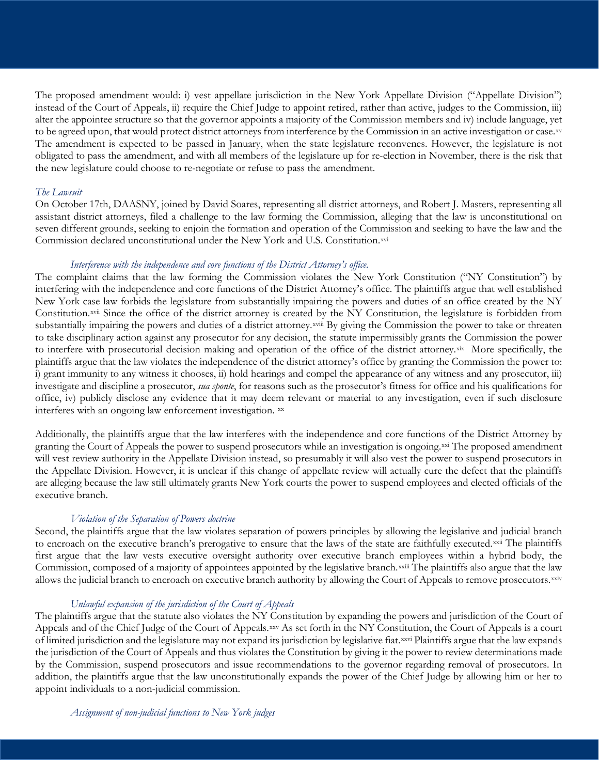The proposed amendment would: i) vest appellate jurisdiction in the New York Appellate Division ("Appellate Division") instead of the Court of Appeals, ii) require the Chief Judge to appoint retired, rather than active, judges to the Commission, iii) alter the appointee structure so that the governor appoints a majority of the Commission members and iv) include language, yet to be agreed upon, that would protect district attorneys from interference by the Commission in an active investigation or case.[xv](#page-4-14) The amendment is expected to be passed in January, when the state legislature reconvenes. However, the legislature is not obligated to pass the amendment, and with all members of the legislature up for re-election in November, there is the risk that the new legislature could choose to re-negotiate or refuse to pass the amendment.

#### *The Lawsuit*

On October 17th, DAASNY, joined by David Soares, representing all district attorneys, and Robert J. Masters, representing all assistant district attorneys, filed a challenge to the law forming the Commission, alleging that the law is unconstitutional on seven different grounds, seeking to enjoin the formation and operation of the Commission and seeking to have the law and the Commission declared unconstitutional under the New York and U.S. Constitution.[xvi](#page-4-15)

#### *Interference with the independence and core functions of the District Attorney's office.*

The complaint claims that the law forming the Commission violates the New York Constitution ("NY Constitution") by interfering with the independence and core functions of the District Attorney's office. The plaintiffs argue that well established New York case law forbids the legislature from substantially impairing the powers and duties of an office created by the NY Constitution.[xvii](#page-4-16) Since the office of the district attorne[y](#page-4-17) is created by the NY Constitution, the legislature is forbidden from substantially impairing the powers and duties of a district attorney.xviii By giving the Commission the power to take or threaten to take disciplinary action against any prosecutor for any decision, the statute impermissibly grants the Commission the power to interfere with prosecutorial decision making and operation of the office of the district attorney.[xix](#page-4-18) More specifically, the plaintiffs argue that the law violates the independence of the district attorney's office by granting the Commission the power to: i) grant immunity to any witness it chooses, ii) hold hearings and compel the appearance of any witness and any prosecutor, iii) investigate and discipline a prosecutor, *sua sponte*, for reasons such as the prosecutor's fitness for office and his qualifications for office, iv) publicly disclose any evidence that it may deem relevant or material to any investigation, even if such disclosure interferes with an ongoing law enforcement investigation. [xx](#page-4-19)

Additionally, the plaintiffs argue that the law interferes with the independence and core functions of the District Attorney by granting the Court of Appeals the power to suspend prosecutors while an investigation is ongoing.<sup>[xxi](#page-4-20)</sup> The proposed amendment will vest review authority in the Appellate Division instead, so presumably it will also vest the power to suspend prosecutors in the Appellate Division. However, it is unclear if this change of appellate review will actually cure the defect that the plaintiffs are alleging because the law still ultimately grants New York courts the power to suspend employees and elected officials of the executive branch.

#### *Violation of the Separation of Powers doctrine*

Second, the plaintiffs argue that the law violates separation of powers principles by allowing the legislative and judicial branch to encroach on the executive branch's prerogative to ensure that the laws of the state are faithfully executed.[xxii](#page-4-21) The plaintiffs Commission, composed of a majority of appointees appointed by the legislative branch. XXIII The plaintiffs also argue that the law first argue that the law vests executive oversight authority over executive branch e[m](#page-4-22)ployees within a hybrid body, the allows the judicial branch to encroach on executive branch authority by allowing the Court of Appeals to remove prosecutors[.xxiv](#page-4-23)

#### *Unlawful expansion of the jurisdiction of the Court of Appeals*

The plaintiffs argue that the statute also violates the NY Constitution by expanding the powers and jurisdiction of the Court of Appeals and of the Chief Judge of the Court of Appeals.[xxv](#page-4-24) As set forth in the NY Constitution, the Court of Appeals is a court of limited jurisdiction and the legislature may not expand its jurisdiction by legislative fiat.[xxvi](#page-4-25) Plaintiffs argue that the law expands the jurisdiction of the Court of Appeals and thus violates the Constitution by giving it the power to review determinations made by the Commission, suspend prosecutors and issue recommendations to the governor regarding removal of prosecutors. In addition, the plaintiffs argue that the law unconstitutionally expands the power of the Chief Judge by allowing him or her to appoint individuals to a non-judicial commission.

*Assignment of non-judicial functions to New York judges*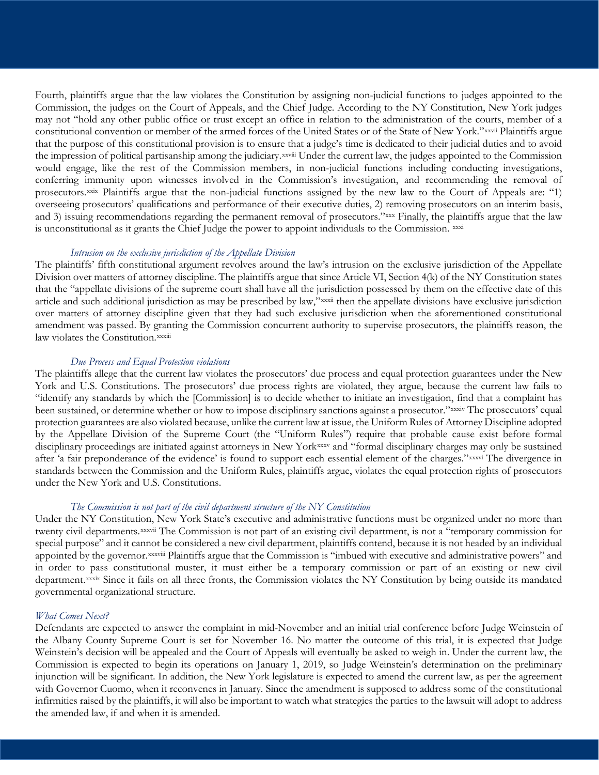Fourth, plaintiffs argue that the law violates the Constitution by assigning non-judicial functions to judges appointed to the Commission, the judges on the Court of Appeals, and the Chief Judge. According to the NY Constitution, New York judges may not "hold any other public office or trust except an office in relation to the administration of the courts, member of a constitutional convention or member of the armed forces of the United States or of the State of New York."xxvi[i](#page-4-26) Plaintiffs argue the impression of political partisanship among the judiciary. XXViii [U](#page-4-27)nder the current law, the judges appointed to the Commission that the purpose of this constitutional provision is to ensure that a judge's time is dedicated to their judicial duties and to avoid would engage, like the rest of the Commission members, in non-judicial functions including conducting investigations, conferring immunity upon witnesses involved in the Commission's investigation, and recommending the removal of prosecutors.[xxix](#page-4-28) Plaintiffs argue that the non-judicial functions assigned by the new law to the Court of Appeals are: "1) overseeing prosecutors' qualifications and performance of their executive duties, 2) removing prosecutors on an interim basis, and 3) issuing recommendations regarding the permanent removal of prosecutors."[xxx](#page-4-29) Finally, the plaintiffs argue that the law is unconstitutional as it grants the Chief Judge the power to appoint individuals to the Commission. [xxxi](#page-4-30)

#### *Intrusion on the exclusive jurisdiction of the Appellate Division*

The plaintiffs' fifth constitutional argument revolves around the law's intrusion on the exclusive jurisdiction of the Appellate Division over matters of attorney discipline. The plaintiffs argue that since Article VI, Section 4(k) of the NY Constitution states that the "appellate divisions of the supreme court shall have all the juri[sd](#page-4-31)iction possessed by them on the effective date of this article and such additional jurisdiction as may be prescribed by law,"xxxii then the appellate divisions have exclusive jurisdiction law violates the Constitution. xxxiii over matters of attorney discipline given that they had such exclusive jurisdiction when the aforementioned constitutional amendment was passed. By gra[nt](#page-4-32)ing the Commission concurrent authority to supervise prosecutors, the plaintiffs reason, the

#### *Due Process and Equal Protection violations*

The plaintiffs allege that the current law violates the prosecutors' due process and equal protection guarantees under the New York and U.S. Constitutions. The prosecutors' due process rights are violated, they argue, because the current law fails to "identify any standards by which the [Commission] is to decide whether to initiate an investigation, find that a complaint has been sustained, or determine whether or how to impose disciplinary sanctions against a prosecutor."xxxi[v](#page-4-33) The prosecutors' equal after 'a fair preponderance of the evidence' is found to support each essential element of the charges." xxxvi The divergence in protection guarantees are also violated because, unlike the current law at issue, the Uniform Rules of Attorney Discipline adopted by the Appellate Division of the Supreme Court (the "Uniform Rules") require that probable cause exist before formal disciplinary proceedings are initiated against attorneys in New York[xxxv](#page-4-34) and "formal disciplinar[y](#page-4-35) charges may only be sustained standards between the Commission and the Uniform Rules, plaintiffs argue, violates the equal protection rights of prosecutors under the New York and U.S. Constitutions.

#### *The Commission is not part of the civil department structure of the NY Constitution*

Under the NY Constitution, [N](#page-4-36)ew York State's executive and administrative functions must be organized under no more than twenty civil departments.xxxvii The Commission is not part of an existing civil department, is not a "temporary commission for appointed by the governor. XXXViii [P](#page-4-37)laintiffs argue that the Commission is "imbued with executive and administrative powers" and department. XXXIX Since it fails on all three fronts, the Commission violates the NY Constitution by being outside its mandated special purpose" and it cannot be considered a new civil department, plaintiffs contend, because it is not headed by an individual in order to p[as](#page-4-38)s constitutional muster, it must either be a temporary commission or part of an existing or new civil governmental organizational structure.

#### *What Comes Next?*

Defendants are expected to answer the complaint in mid-November and an initial trial conference before Judge Weinstein of the Albany County Supreme Court is set for November 16. No matter the outcome of this trial, it is expected that Judge Weinstein's decision will be appealed and the Court of Appeals will eventually be asked to weigh in. Under the current law, the Commission is expected to begin its operations on January 1, 2019, so Judge Weinstein's determination on the preliminary injunction will be significant. In addition, the New York legislature is expected to amend the current law, as per the agreement with Governor Cuomo, when it reconvenes in January. Since the amendment is supposed to address some of the constitutional infirmities raised by the plaintiffs, it will also be important to watch what strategies the parties to the lawsuit will adopt to address the amended law, if and when it is amended.